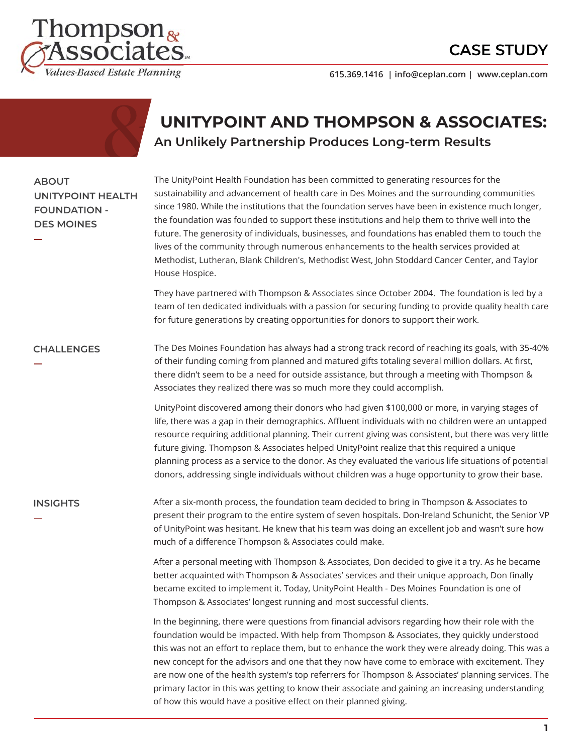## **CASE STUDY**



**615.369.1416 | info@ceplan.com | www.ceplan.com**

## **UNITYPOINT AND THOMPSON & ASSOCIATES: An Unlikely Partnership Produces Long-term Results**

### **ABOUT UNITYPOINT HEALTH FOUNDATION - DES MOINES**

The UnityPoint Health Foundation has been committed to generating resources for the sustainability and advancement of health care in Des Moines and the surrounding communities since 1980. While the institutions that the foundation serves have been in existence much longer, the foundation was founded to support these institutions and help them to thrive well into the future. The generosity of individuals, businesses, and foundations has enabled them to touch the lives of the community through numerous enhancements to the health services provided at Methodist, Lutheran, Blank Children's, Methodist West, John Stoddard Cancer Center, and Taylor House Hospice.

They have partnered with Thompson & Associates since October 2004. The foundation is led by a team of ten dedicated individuals with a passion for securing funding to provide quality health care for future generations by creating opportunities for donors to support their work.

#### **CHALLENGES**

The Des Moines Foundation has always had a strong track record of reaching its goals, with 35-40% of their funding coming from planned and matured gifts totaling several million dollars. At first, there didn't seem to be a need for outside assistance, but through a meeting with Thompson & Associates they realized there was so much more they could accomplish.

UnityPoint discovered among their donors who had given \$100,000 or more, in varying stages of life, there was a gap in their demographics. Affluent individuals with no children were an untapped resource requiring additional planning. Their current giving was consistent, but there was very little future giving. Thompson & Associates helped UnityPoint realize that this required a unique planning process as a service to the donor. As they evaluated the various life situations of potential donors, addressing single individuals without children was a huge opportunity to grow their base.

#### **INSIGHTS**

After a six-month process, the foundation team decided to bring in Thompson & Associates to present their program to the entire system of seven hospitals. Don-Ireland Schunicht, the Senior VP of UnityPoint was hesitant. He knew that his team was doing an excellent job and wasn't sure how much of a difference Thompson & Associates could make.

After a personal meeting with Thompson & Associates, Don decided to give it a try. As he became better acquainted with Thompson & Associates' services and their unique approach, Don finally became excited to implement it. Today, UnityPoint Health - Des Moines Foundation is one of Thompson & Associates' longest running and most successful clients.

In the beginning, there were questions from financial advisors regarding how their role with the foundation would be impacted. With help from Thompson & Associates, they quickly understood this was not an effort to replace them, but to enhance the work they were already doing. This was a new concept for the advisors and one that they now have come to embrace with excitement. They are now one of the health system's top referrers for Thompson & Associates' planning services. The primary factor in this was getting to know their associate and gaining an increasing understanding of how this would have a positive effect on their planned giving.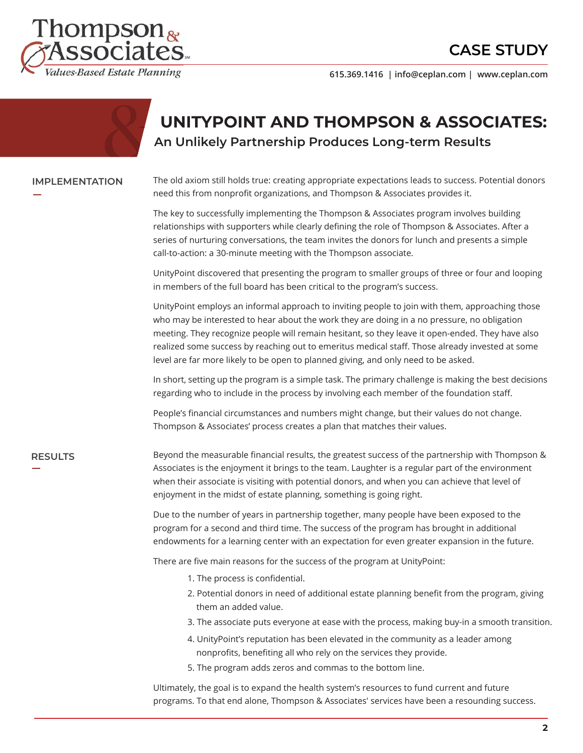## **CASE STUDY**



**615.369.1416 | info@ceplan.com | www.ceplan.com**

### **UNITYPOINT AND THOMPSON & ASSOCIATES: An Unlikely Partnership Produces Long-term Results**

#### **IMPLEMENTATION**

The old axiom still holds true: creating appropriate expectations leads to success. Potential donors need this from nonprofit organizations, and Thompson & Associates provides it.

The key to successfully implementing the Thompson & Associates program involves building relationships with supporters while clearly defining the role of Thompson & Associates. After a series of nurturing conversations, the team invites the donors for lunch and presents a simple call-to-action: a 30-minute meeting with the Thompson associate.

UnityPoint discovered that presenting the program to smaller groups of three or four and looping in members of the full board has been critical to the program's success.

UnityPoint employs an informal approach to inviting people to join with them, approaching those who may be interested to hear about the work they are doing in a no pressure, no obligation meeting. They recognize people will remain hesitant, so they leave it open-ended. They have also realized some success by reaching out to emeritus medical staff. Those already invested at some level are far more likely to be open to planned giving, and only need to be asked.

In short, setting up the program is a simple task. The primary challenge is making the best decisions regarding who to include in the process by involving each member of the foundation staff.

People's financial circumstances and numbers might change, but their values do not change. Thompson & Associates' process creates a plan that matches their values.

### **RESULTS**

Beyond the measurable financial results, the greatest success of the partnership with Thompson & Associates is the enjoyment it brings to the team. Laughter is a regular part of the environment when their associate is visiting with potential donors, and when you can achieve that level of enjoyment in the midst of estate planning, something is going right.

Due to the number of years in partnership together, many people have been exposed to the program for a second and third time. The success of the program has brought in additional endowments for a learning center with an expectation for even greater expansion in the future.

There are five main reasons for the success of the program at UnityPoint:

- 1. The process is confidential.
- 2. Potential donors in need of additional estate planning benefit from the program, giving them an added value.
- 3. The associate puts everyone at ease with the process, making buy-in a smooth transition.
- 4. UnityPoint's reputation has been elevated in the community as a leader among nonprofits, benefiting all who rely on the services they provide.
- 5. The program adds zeros and commas to the bottom line.

Ultimately, the goal is to expand the health system's resources to fund current and future programs. To that end alone, Thompson & Associates' services have been a resounding success.